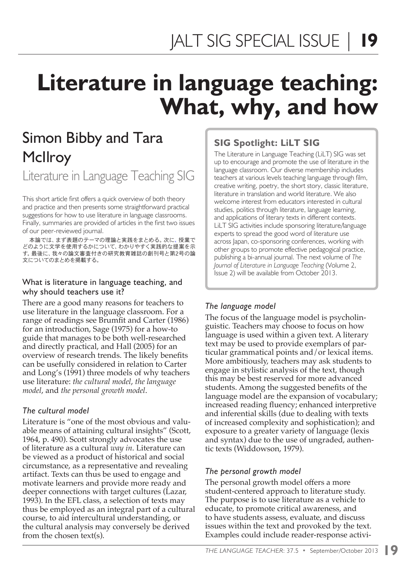# **Literature in language teaching: What, why, and how**

## Simon Bibby and Tara **McIlroy**

Literature in Language Teaching SIG

This short article first offers a quick overview of both theory and practice and then presents some straightforward practical suggestions for how to use literature in language classrooms. Finally, summaries are provided of articles in the first two issues of our peer-reviewed journal.

本論では、まず表題のテーマの理論と実践をまとめる。次に、授業で どのように文学を使用するかについて、わかりやすく実践的な提案を示 す。最後に、我々の論文審査付きの研究教育雑誌の創刊号と第2号の論 文についてのまとめを掲載する。

#### What is literature in language teaching, and why should teachers use it?

There are a good many reasons for teachers to use literature in the language classroom. For a range of readings see Brumfit and Carter (1986) for an introduction, Sage (1975) for a how-to guide that manages to be both well-researched and directly practical, and Hall (2005) for an overview of research trends. The likely benefits can be usefully considered in relation to Carter and Long's (1991) three models of why teachers use literature: *the cultural model*, *the language model*, and *the personal growth model*.

#### *The cultural model*

Literature is "one of the most obvious and valuable means of attaining cultural insights" (Scott, 1964, p. 490). Scott strongly advocates the use of literature as a cultural *way in*. Literature can be viewed as a product of historical and social circumstance, as a representative and revealing artifact. Texts can thus be used to engage and motivate learners and provide more ready and deeper connections with target cultures (Lazar, 1993). In the EFL class, a selection of texts may thus be employed as an integral part of a cultural course, to aid intercultural understanding, or the cultural analysis may conversely be derived from the chosen text(s).

### **SIG Spotlight: LiLT SIG**

The Literature in Language Teaching (LiLT) SIG was set up to encourage and promote the use of literature in the language classroom. Our diverse membership includes teachers at various levels teaching language through film, creative writing, poetry, the short story, classic literature, literature in translation and world literature. We also welcome interest from educators interested in cultural studies, politics through literature, language learning, and applications of literary texts in different contexts. LiLT SIG activities include sponsoring literature/language experts to spread the good word of literature use across Japan, co-sponsoring conferences, working with other groups to promote effective pedagogical practice, publishing a bi-annual journal. The next volume of *The Journal of Literature in Language Teaching* (Volume 2, Issue 2) will be available from October 2013.

#### *The language model*

The focus of the language model is psycholinguistic. Teachers may choose to focus on how language is used within a given text. A literary text may be used to provide exemplars of particular grammatical points and/or lexical items. More ambitiously, teachers may ask students to engage in stylistic analysis of the text, though this may be best reserved for more advanced students. Among the suggested benefits of the language model are the expansion of vocabulary; increased reading fluency; enhanced interpretive and inferential skills (due to dealing with texts of increased complexity and sophistication); and exposure to a greater variety of language (lexis and syntax) due to the use of ungraded, authentic texts (Widdowson, 1979).

#### *The personal growth model*

The personal growth model offers a more student-centered approach to literature study. The purpose is to use literature as a vehicle to educate, to promote critical awareness, and to have students assess, evaluate, and discuss issues within the text and provoked by the text. Examples could include reader-response activi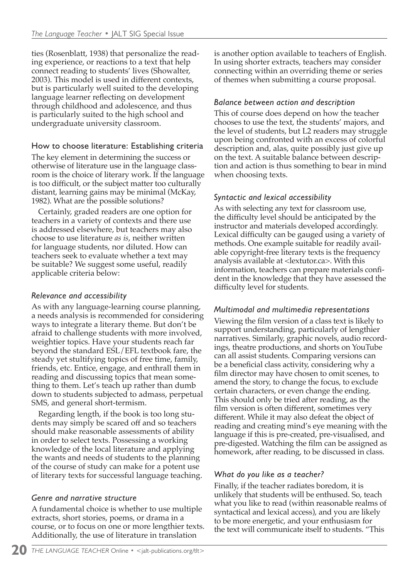ties (Rosenblatt, 1938) that personalize the reading experience, or reactions to a text that help connect reading to students' lives (Showalter, 2003). This model is used in different contexts, but is particularly well suited to the developing language learner reflecting on development through childhood and adolescence, and thus is particularly suited to the high school and undergraduate university classroom.

#### How to choose literature: Establishing criteria

The key element in determining the success or otherwise of literature use in the language classroom is the choice of literary work. If the language is too difficult, or the subject matter too culturally distant, learning gains may be minimal (McKay, 1982). What are the possible solutions?

Certainly, graded readers are one option for teachers in a variety of contexts and there use is addressed elsewhere, but teachers may also choose to use literature *as is*, neither written for language students, nor diluted. How can teachers seek to evaluate whether a text may be suitable? We suggest some useful, readily applicable criteria below:

#### *Relevance and accessibility*

As with any language-learning course planning, a needs analysis is recommended for considering ways to integrate a literary theme. But don't be afraid to challenge students with more involved, weightier topics. Have your students reach far beyond the standard ESL/EFL textbook fare, the steady yet stultifying topics of free time, family, friends, etc. Entice, engage, and enthrall them in reading and discussing topics that mean something to them. Let's teach up rather than dumb down to students subjected to admass, perpetual SMS, and general short-termism.

Regarding length, if the book is too long students may simply be scared off and so teachers should make reasonable assessments of ability in order to select texts. Possessing a working knowledge of the local literature and applying the wants and needs of students to the planning of the course of study can make for a potent use of literary texts for successful language teaching.

#### *Genre and narrative structure*

A fundamental choice is whether to use multiple extracts, short stories, poems, or drama in a course, or to focus on one or more lengthier texts. Additionally, the use of literature in translation

is another option available to teachers of English. In using shorter extracts, teachers may consider connecting within an overriding theme or series of themes when submitting a course proposal.

#### *Balance between action and description*

This of course does depend on how the teacher chooses to use the text, the students' majors, and the level of students, but L2 readers may struggle upon being confronted with an excess of colorful description and, alas, quite possibly just give up on the text. A suitable balance between description and action is thus something to bear in mind when choosing texts.

#### *Syntactic and lexical accessibility*

As with selecting any text for classroom use, the difficulty level should be anticipated by the instructor and materials developed accordingly. Lexical difficulty can be gauged using a variety of methods. One example suitable for readily available copyright-free literary texts is the frequency analysis available at <lextutor.ca>. With this information, teachers can prepare materials confident in the knowledge that they have assessed the difficulty level for students.

#### *Multimodal and multimedia representations*

Viewing the film version of a class text is likely to support understanding, particularly of lengthier narratives. Similarly, graphic novels, audio recordings, theatre productions, and shorts on YouTube can all assist students. Comparing versions can be a beneficial class activity, considering why a film director may have chosen to omit scenes, to amend the story, to change the focus, to exclude certain characters, or even change the ending. This should only be tried after reading, as the film version is often different, sometimes very different. While it may also defeat the object of reading and creating mind's eye meaning with the language if this is pre-created, pre-visualised, and pre-digested. Watching the film can be assigned as homework, after reading, to be discussed in class.

#### *What do you like as a teacher?*

Finally, if the teacher radiates boredom, it is unlikely that students will be enthused. So, teach what you like to read (within reasonable realms of syntactical and lexical access), and you are likely to be more energetic, and your enthusiasm for the text will communicate itself to students. "This